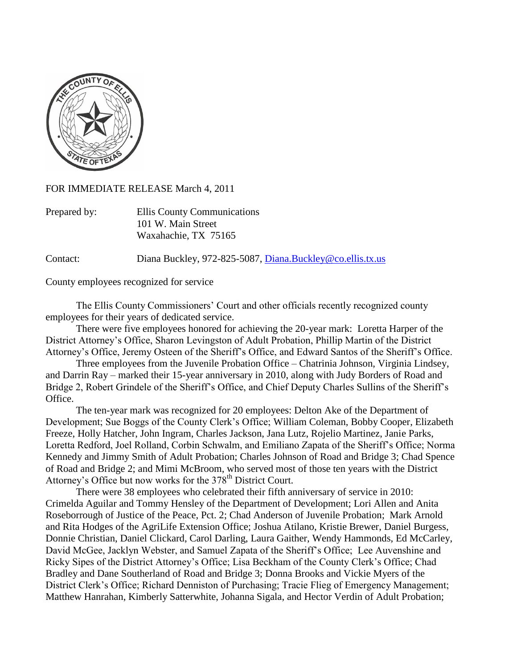

FOR IMMEDIATE RELEASE March 4, 2011

| Prepared by: | Ellis County Communications |
|--------------|-----------------------------|
|              | 101 W. Main Street          |
|              | Waxahachie, TX 75165        |

Contact: Diana Buckley, 972-825-5087, [Diana.Buckley@co.ellis.tx.us](mailto:Diana.Buckley@co.ellis.tx.us)

County employees recognized for service

The Ellis County Commissioners' Court and other officials recently recognized county employees for their years of dedicated service.

There were five employees honored for achieving the 20-year mark: Loretta Harper of the District Attorney's Office, Sharon Levingston of Adult Probation, Phillip Martin of the District Attorney's Office, Jeremy Osteen of the Sheriff's Office, and Edward Santos of the Sheriff's Office.

Three employees from the Juvenile Probation Office – Chatrinia Johnson, Virginia Lindsey, and Darrin Ray – marked their 15-year anniversary in 2010, along with Judy Borders of Road and Bridge 2, Robert Grindele of the Sheriff's Office, and Chief Deputy Charles Sullins of the Sheriff's Office.

The ten-year mark was recognized for 20 employees: Delton Ake of the Department of Development; Sue Boggs of the County Clerk's Office; William Coleman, Bobby Cooper, Elizabeth Freeze, Holly Hatcher, John Ingram, Charles Jackson, Jana Lutz, Rojelio Martinez, Janie Parks, Loretta Redford, Joel Rolland, Corbin Schwalm, and Emiliano Zapata of the Sheriff's Office; Norma Kennedy and Jimmy Smith of Adult Probation; Charles Johnson of Road and Bridge 3; Chad Spence of Road and Bridge 2; and Mimi McBroom, who served most of those ten years with the District Attorney's Office but now works for the 378<sup>th</sup> District Court.

There were 38 employees who celebrated their fifth anniversary of service in 2010: Crimelda Aguilar and Tommy Hensley of the Department of Development; Lori Allen and Anita Roseborrough of Justice of the Peace, Pct. 2; Chad Anderson of Juvenile Probation; Mark Arnold and Rita Hodges of the AgriLife Extension Office; Joshua Atilano, Kristie Brewer, Daniel Burgess, Donnie Christian, Daniel Clickard, Carol Darling, Laura Gaither, Wendy Hammonds, Ed McCarley, David McGee, Jacklyn Webster, and Samuel Zapata of the Sheriff's Office; Lee Auvenshine and Ricky Sipes of the District Attorney's Office; Lisa Beckham of the County Clerk's Office; Chad Bradley and Dane Southerland of Road and Bridge 3; Donna Brooks and Vickie Myers of the District Clerk's Office; Richard Denniston of Purchasing; Tracie Flieg of Emergency Management; Matthew Hanrahan, Kimberly Satterwhite, Johanna Sigala, and Hector Verdin of Adult Probation;